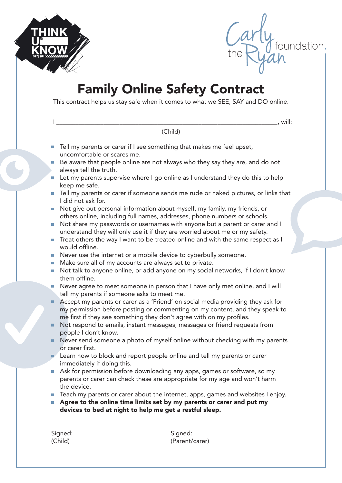

Carly<br>the Ryan

## Family Online Safety Contract

This contract helps us stay safe when it comes to what we SEE, SAY and DO online.

|        | , will:                                                                                                                                                                                                                                |
|--------|----------------------------------------------------------------------------------------------------------------------------------------------------------------------------------------------------------------------------------------|
|        | (Child)                                                                                                                                                                                                                                |
|        | Tell my parents or carer if I see something that makes me feel upset,<br>uncomfortable or scares me.                                                                                                                                   |
|        | Be aware that people online are not always who they say they are, and do not<br>always tell the truth.                                                                                                                                 |
| $\Box$ | Let my parents supervise where I go online as I understand they do this to help<br>keep me safe.                                                                                                                                       |
|        | Tell my parents or carer if someone sends me rude or naked pictures, or links that<br>I did not ask for.                                                                                                                               |
| $\Box$ | Not give out personal information about myself, my family, my friends, or<br>others online, including full names, addresses, phone numbers or schools.                                                                                 |
| $\Box$ | Not share my passwords or usernames with anyone but a parent or carer and I<br>understand they will only use it if they are worried about me or my safety.                                                                             |
| $\Box$ | Treat others the way I want to be treated online and with the same respect as I<br>would offline.                                                                                                                                      |
|        | Never use the internet or a mobile device to cyberbully someone.                                                                                                                                                                       |
| $\Box$ | Make sure all of my accounts are always set to private.                                                                                                                                                                                |
| $\Box$ | Not talk to anyone online, or add anyone on my social networks, if I don't know<br>them offline.                                                                                                                                       |
| $\Box$ | Never agree to meet someone in person that I have only met online, and I will<br>tell my parents if someone asks to meet me.                                                                                                           |
| ш      | Accept my parents or carer as a 'Friend' on social media providing they ask for<br>my permission before posting or commenting on my content, and they speak to<br>me first if they see something they don't agree with on my profiles. |
| ш      | Not respond to emails, instant messages, messages or friend requests from<br>people I don't know.                                                                                                                                      |
| ш      | Never send someone a photo of myself online without checking with my parents<br>or carer first.                                                                                                                                        |
| □      | Learn how to block and report people online and tell my parents or carer<br>immediately if doing this.                                                                                                                                 |
|        | Ask for permission before downloading any apps, games or software, so my<br>parents or carer can check these are appropriate for my age and won't harm<br>the device.                                                                  |
|        | Teach my parents or carer about the internet, apps, games and websites I enjoy.<br>Agree to the online time limits set by my parents or carer and put my<br>devices to bed at night to help me get a restful sleep.                    |
|        | Signed:<br>Signed:                                                                                                                                                                                                                     |
|        | (Child)<br>(Parent/carer)                                                                                                                                                                                                              |